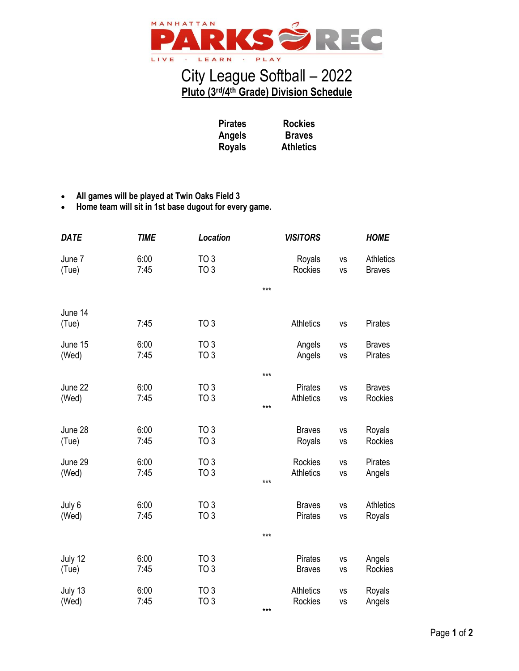

## City League Softball – 2022 **Pluto (3rd/4th Grade) Division Schedule**

**Rockies Braves Athletics**

**Pirates Angels Royals**

- **All games will be played at Twin Oaks Field 3**
- **Home team will sit in 1st base dugout for every game.**

| <b>DATE</b>      | <b>TIME</b>  | Location                           |       | <b>VISITORS</b>   |                 | <b>HOME</b>                       |
|------------------|--------------|------------------------------------|-------|-------------------|-----------------|-----------------------------------|
| June 7<br>(Tue)  | 6:00<br>7:45 | TO <sub>3</sub><br>TO <sub>3</sub> |       | Royals<br>Rockies | <b>VS</b><br>VS | <b>Athletics</b><br><b>Braves</b> |
|                  |              |                                    | $***$ |                   |                 |                                   |
| June 14<br>(Tue) | 7:45         | <b>TO 3</b>                        |       | <b>Athletics</b>  | <b>VS</b>       | Pirates                           |
| June 15<br>(Wed) | 6:00<br>7:45 | TO 3<br>TO <sub>3</sub>            |       | Angels<br>Angels  | VS<br>VS        | <b>Braves</b><br><b>Pirates</b>   |
|                  |              |                                    | ***   |                   |                 |                                   |
| June 22          | 6:00         | TO 3                               |       | <b>Pirates</b>    | VS              | <b>Braves</b>                     |
| (Wed)            | 7:45         | TO <sub>3</sub>                    | $***$ | <b>Athletics</b>  | VS              | Rockies                           |
| June 28          | 6:00         | TO <sub>3</sub>                    |       | <b>Braves</b>     | VS              | Royals                            |
| (Tue)            | 7:45         | TO <sub>3</sub>                    |       | Royals            | VS              | Rockies                           |
| June 29          | 6:00         | TO <sub>3</sub>                    |       | Rockies           | VS              | Pirates                           |
| (Wed)            | 7:45         | TO <sub>3</sub>                    | ***   | <b>Athletics</b>  | VS              | Angels                            |
|                  |              |                                    |       |                   |                 |                                   |
| July 6           | 6:00         | TO <sub>3</sub>                    |       | <b>Braves</b>     | <b>VS</b>       | <b>Athletics</b>                  |
| (Wed)            | 7:45         | TO <sub>3</sub>                    |       | <b>Pirates</b>    | VS              | Royals                            |
|                  |              |                                    | ***   |                   |                 |                                   |
| July 12          | 6:00         | TO <sub>3</sub>                    |       | Pirates           | VS              | Angels                            |
| (Tue)            | 7:45         | TO <sub>3</sub>                    |       | <b>Braves</b>     | <b>VS</b>       | Rockies                           |
| July 13          | 6:00         | TO 3                               |       | <b>Athletics</b>  | VS              | Royals                            |
| (Wed)            | 7:45         | TO <sub>3</sub>                    | $***$ | Rockies           | VS              | Angels                            |
|                  |              |                                    |       |                   |                 |                                   |